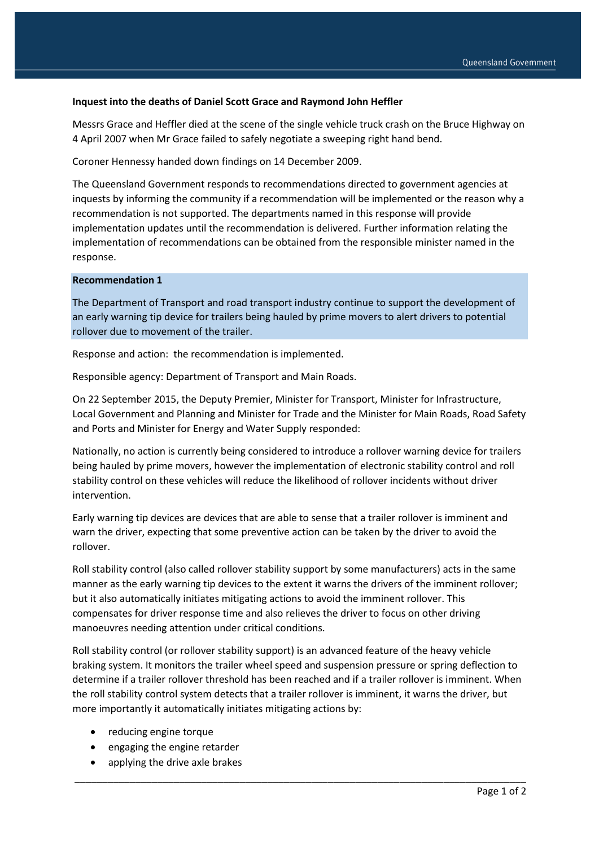## **Inquest into the deaths of Daniel Scott Grace and Raymond John Heffler**

Messrs Grace and Heffler died at the scene of the single vehicle truck crash on the Bruce Highway on 4 April 2007 when Mr Grace failed to safely negotiate a sweeping right hand bend.

Coroner Hennessy handed down findings on 14 December 2009.

The Queensland Government responds to recommendations directed to government agencies at inquests by informing the community if a recommendation will be implemented or the reason why a recommendation is not supported. The departments named in this response will provide implementation updates until the recommendation is delivered. Further information relating the implementation of recommendations can be obtained from the responsible minister named in the response.

## **Recommendation 1**

The Department of Transport and road transport industry continue to support the development of an early warning tip device for trailers being hauled by prime movers to alert drivers to potential rollover due to movement of the trailer.

Response and action: the recommendation is implemented.

Responsible agency: Department of Transport and Main Roads.

On 22 September 2015, the Deputy Premier, Minister for Transport, Minister for Infrastructure, Local Government and Planning and Minister for Trade and the Minister for Main Roads, Road Safety and Ports and Minister for Energy and Water Supply responded:

Nationally, no action is currently being considered to introduce a rollover warning device for trailers being hauled by prime movers, however the implementation of electronic stability control and roll stability control on these vehicles will reduce the likelihood of rollover incidents without driver intervention.

Early warning tip devices are devices that are able to sense that a trailer rollover is imminent and warn the driver, expecting that some preventive action can be taken by the driver to avoid the rollover.

Roll stability control (also called rollover stability support by some manufacturers) acts in the same manner as the early warning tip devices to the extent it warns the drivers of the imminent rollover; but it also automatically initiates mitigating actions to avoid the imminent rollover. This compensates for driver response time and also relieves the driver to focus on other driving manoeuvres needing attention under critical conditions.

Roll stability control (or rollover stability support) is an advanced feature of the heavy vehicle braking system. It monitors the trailer wheel speed and suspension pressure or spring deflection to determine if a trailer rollover threshold has been reached and if a trailer rollover is imminent. When the roll stability control system detects that a trailer rollover is imminent, it warns the driver, but more importantly it automatically initiates mitigating actions by:

\_\_\_\_\_\_\_\_\_\_\_\_\_\_\_\_\_\_\_\_\_\_\_\_\_\_\_\_\_\_\_\_\_\_\_\_\_\_\_\_\_\_\_\_\_\_\_\_\_\_\_\_\_\_\_\_\_\_\_\_\_\_\_\_\_\_\_\_\_\_\_\_\_\_\_\_\_\_\_\_\_\_

- reducing engine torque
- engaging the engine retarder
- applying the drive axle brakes